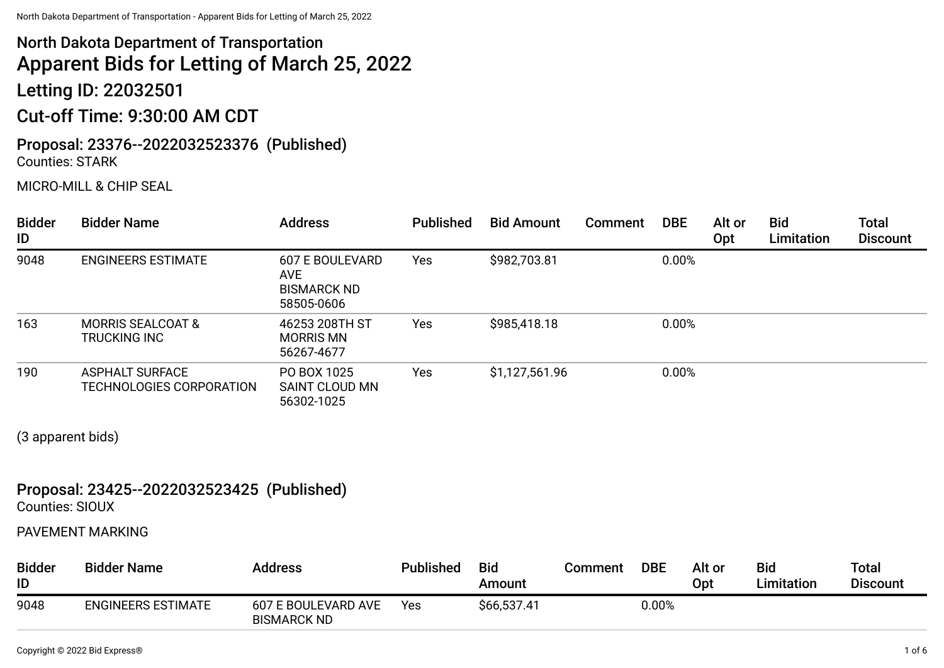# North Dakota Department of Transportation Apparent Bids for Letting of March 25, 2022

Letting ID: 22032501

# Cut-off Time: 9:30:00 AM CDT

### Proposal: 23376--2022032523376 (Published) Counties: STARK

#### MICRO-MILL & CHIP SEAL

| <b>Bidder</b><br>ID | <b>Bidder Name</b>                                 | <b>Address</b>                                                           | <b>Published</b> | <b>Bid Amount</b> | <b>Comment</b> | <b>DBE</b> | Alt or<br><b>Opt</b> | <b>Bid</b><br>Limitation | <b>Total</b><br><b>Discount</b> |
|---------------------|----------------------------------------------------|--------------------------------------------------------------------------|------------------|-------------------|----------------|------------|----------------------|--------------------------|---------------------------------|
| 9048                | <b>ENGINEERS ESTIMATE</b>                          | <b>607 E BOULEVARD</b><br><b>AVE</b><br><b>BISMARCK ND</b><br>58505-0606 | Yes              | \$982,703.81      |                | 0.00%      |                      |                          |                                 |
| 163                 | <b>MORRIS SEALCOAT &amp;</b><br>TRUCKING INC       | 46253 208TH ST<br><b>MORRIS MN</b><br>56267-4677                         | Yes              | \$985,418.18      |                | 0.00%      |                      |                          |                                 |
| 190                 | <b>ASPHALT SURFACE</b><br>TECHNOLOGIES CORPORATION | PO BOX 1025<br>SAINT CLOUD MN<br>56302-1025                              | Yes              | \$1,127,561.96    |                | 0.00%      |                      |                          |                                 |

(3 apparent bids)

# Proposal: 23425--2022032523425 (Published)

Counties: SIOUX

#### PAVEMENT MARKING

| <b>Bidder</b><br>ID | <b>Bidder Name</b>        | <b>Address</b>                            | <b>Published</b> | <b>Bid</b><br>Amount | Comment | <b>DBE</b> | Alt or<br>Opt | <b>Bid</b><br>Limitation | Total<br><b>Discount</b> |
|---------------------|---------------------------|-------------------------------------------|------------------|----------------------|---------|------------|---------------|--------------------------|--------------------------|
| 9048                | <b>ENGINEERS ESTIMATE</b> | 607 E BOULEVARD AVE<br><b>BISMARCK ND</b> | Yes              | \$66,537.41          |         | 0.00%      |               |                          |                          |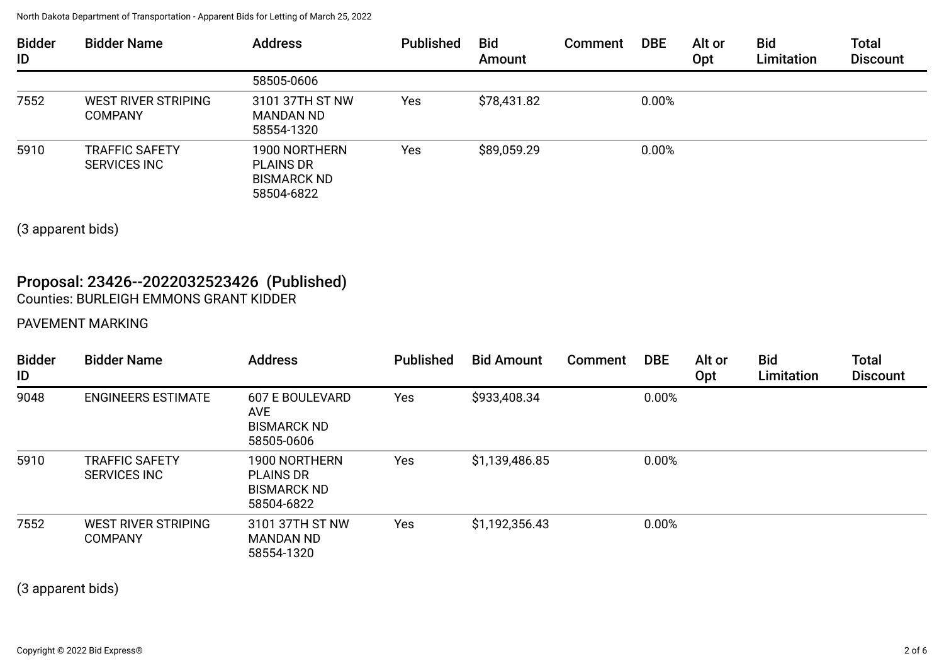| <b>Bidder</b><br>ID | <b>Bidder Name</b>                           | <b>Address</b>                                                        | <b>Published</b> | <b>Bid</b><br>Amount | Comment | <b>DBE</b> | Alt or<br>Opt | <b>Bid</b><br>Limitation | <b>Total</b><br><b>Discount</b> |
|---------------------|----------------------------------------------|-----------------------------------------------------------------------|------------------|----------------------|---------|------------|---------------|--------------------------|---------------------------------|
|                     |                                              | 58505-0606                                                            |                  |                      |         |            |               |                          |                                 |
| 7552                | WEST RIVER STRIPING<br><b>COMPANY</b>        | 3101 37TH ST NW<br><b>MANDAN ND</b><br>58554-1320                     | Yes              | \$78,431.82          |         | 0.00%      |               |                          |                                 |
| 5910                | <b>TRAFFIC SAFETY</b><br><b>SERVICES INC</b> | 1900 NORTHERN<br><b>PLAINS DR</b><br><b>BISMARCK ND</b><br>58504-6822 | Yes              | \$89,059.29          |         | 0.00%      |               |                          |                                 |

(3 apparent bids)

## Proposal: 23426--2022032523426 (Published) Counties: BURLEIGH EMMONS GRANT KIDDER

#### PAVEMENT MARKING

| <b>Bidder</b><br>ID | <b>Bidder Name</b>                           | <b>Address</b>                                                        | <b>Published</b> | <b>Bid Amount</b> | <b>Comment</b> | <b>DBE</b> | Alt or<br>Opt | <b>Bid</b><br>Limitation | <b>Total</b><br><b>Discount</b> |
|---------------------|----------------------------------------------|-----------------------------------------------------------------------|------------------|-------------------|----------------|------------|---------------|--------------------------|---------------------------------|
| 9048                | <b>ENGINEERS ESTIMATE</b>                    | 607 E BOULEVARD<br><b>AVE</b><br><b>BISMARCK ND</b><br>58505-0606     | Yes              | \$933,408.34      |                | 0.00%      |               |                          |                                 |
| 5910                | <b>TRAFFIC SAFETY</b><br><b>SERVICES INC</b> | 1900 NORTHERN<br><b>PLAINS DR</b><br><b>BISMARCK ND</b><br>58504-6822 | Yes              | \$1,139,486.85    |                | 0.00%      |               |                          |                                 |
| 7552                | WEST RIVER STRIPING<br><b>COMPANY</b>        | 3101 37TH ST NW<br><b>MANDAN ND</b><br>58554-1320                     | Yes              | \$1,192,356.43    |                | 0.00%      |               |                          |                                 |

(3 apparent bids)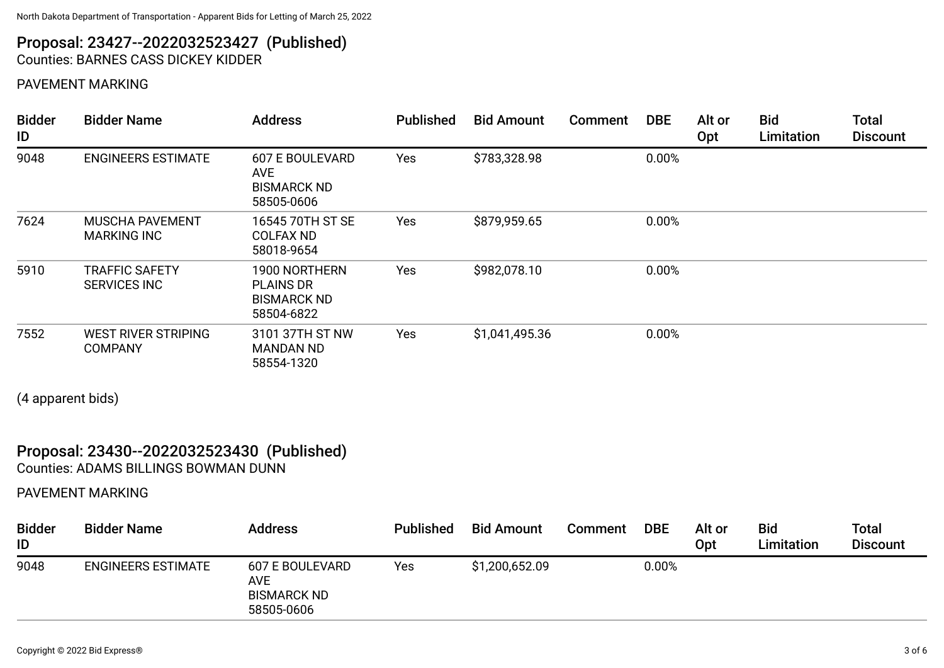#### Proposal: 23427--2022032523427 (Published) Counties: BARNES CASS DICKEY KIDDER

#### PAVEMENT MARKING

| <b>Bidder</b><br>ID | <b>Bidder Name</b>                           | <b>Address</b>                                                           | <b>Published</b> | <b>Bid Amount</b> | <b>Comment</b> | <b>DBE</b> | Alt or<br>Opt | <b>Bid</b><br>Limitation | <b>Total</b><br><b>Discount</b> |
|---------------------|----------------------------------------------|--------------------------------------------------------------------------|------------------|-------------------|----------------|------------|---------------|--------------------------|---------------------------------|
| 9048                | <b>ENGINEERS ESTIMATE</b>                    | <b>607 E BOULEVARD</b><br><b>AVE</b><br><b>BISMARCK ND</b><br>58505-0606 | Yes              | \$783,328.98      |                | 0.00%      |               |                          |                                 |
| 7624                | <b>MUSCHA PAVEMENT</b><br><b>MARKING INC</b> | 16545 70TH ST SE<br><b>COLFAX ND</b><br>58018-9654                       | Yes              | \$879,959.65      |                | 0.00%      |               |                          |                                 |
| 5910                | <b>TRAFFIC SAFETY</b><br><b>SERVICES INC</b> | 1900 NORTHERN<br><b>PLAINS DR</b><br><b>BISMARCK ND</b><br>58504-6822    | Yes              | \$982,078.10      |                | 0.00%      |               |                          |                                 |
| 7552                | WEST RIVER STRIPING<br><b>COMPANY</b>        | 3101 37TH ST NW<br><b>MANDAN ND</b><br>58554-1320                        | Yes              | \$1,041,495.36    |                | 0.00%      |               |                          |                                 |

(4 apparent bids)

#### Proposal: 23430--2022032523430 (Published) Counties: ADAMS BILLINGS BOWMAN DUNN

### PAVEMENT MARKING

| <b>Bidder</b><br>ID | <b>Bidder Name</b>        | <b>Address</b>                                                    | <b>Published</b> | <b>Bid Amount</b> | <b>Comment</b> | <b>DBE</b> | Alt or<br>Opt | <b>Bid</b><br>Limitation | Total<br><b>Discount</b> |
|---------------------|---------------------------|-------------------------------------------------------------------|------------------|-------------------|----------------|------------|---------------|--------------------------|--------------------------|
| 9048                | <b>ENGINEERS ESTIMATE</b> | 607 E BOULEVARD<br><b>AVE</b><br><b>BISMARCK ND</b><br>58505-0606 | Yes              | \$1,200,652.09    |                | 0.00%      |               |                          |                          |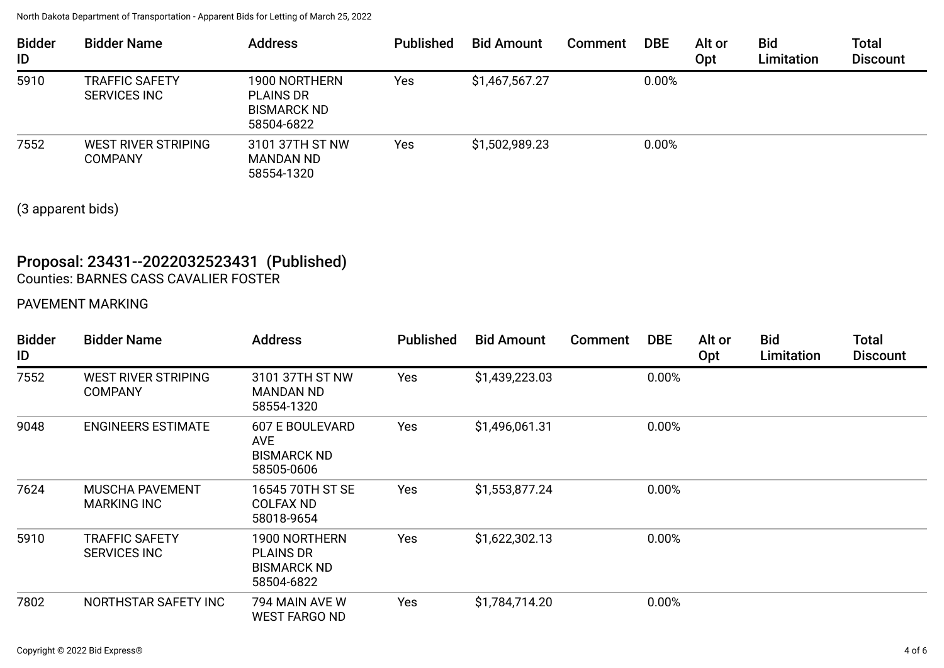| <b>Bidder</b><br>ID | <b>Bidder Name</b>                           | <b>Address</b>                                                        | <b>Published</b> | <b>Bid Amount</b> | <b>Comment</b> | <b>DBE</b> | Alt or<br>Opt | <b>Bid</b><br>Limitation | <b>Total</b><br><b>Discount</b> |
|---------------------|----------------------------------------------|-----------------------------------------------------------------------|------------------|-------------------|----------------|------------|---------------|--------------------------|---------------------------------|
| 5910                | <b>TRAFFIC SAFETY</b><br><b>SERVICES INC</b> | 1900 NORTHERN<br><b>PLAINS DR</b><br><b>BISMARCK ND</b><br>58504-6822 | Yes              | \$1,467,567.27    |                | 0.00%      |               |                          |                                 |
| 7552                | WEST RIVER STRIPING<br><b>COMPANY</b>        | 3101 37TH ST NW<br><b>MANDAN ND</b><br>58554-1320                     | Yes              | \$1,502,989.23    |                | 0.00%      |               |                          |                                 |

(3 apparent bids)

# Proposal: 23431--2022032523431 (Published)

Counties: BARNES CASS CAVALIER FOSTER

#### PAVEMENT MARKING

| <b>Bidder</b><br>ID | <b>Bidder Name</b>                           | <b>Address</b>                                                           | <b>Published</b> | <b>Bid Amount</b> | <b>Comment</b> | <b>DBE</b> | Alt or<br>Opt | <b>Bid</b><br>Limitation | <b>Total</b><br><b>Discount</b> |
|---------------------|----------------------------------------------|--------------------------------------------------------------------------|------------------|-------------------|----------------|------------|---------------|--------------------------|---------------------------------|
| 7552                | <b>WEST RIVER STRIPING</b><br><b>COMPANY</b> | 3101 37TH ST NW<br><b>MANDAN ND</b><br>58554-1320                        | Yes              | \$1,439,223.03    |                | 0.00%      |               |                          |                                 |
| 9048                | <b>ENGINEERS ESTIMATE</b>                    | <b>607 E BOULEVARD</b><br><b>AVE</b><br><b>BISMARCK ND</b><br>58505-0606 | Yes              | \$1,496,061.31    |                | 0.00%      |               |                          |                                 |
| 7624                | <b>MUSCHA PAVEMENT</b><br><b>MARKING INC</b> | 16545 70TH ST SE<br><b>COLFAX ND</b><br>58018-9654                       | Yes              | \$1,553,877.24    |                | 0.00%      |               |                          |                                 |
| 5910                | <b>TRAFFIC SAFETY</b><br><b>SERVICES INC</b> | 1900 NORTHERN<br><b>PLAINS DR</b><br><b>BISMARCK ND</b><br>58504-6822    | Yes              | \$1,622,302.13    |                | 0.00%      |               |                          |                                 |
| 7802                | NORTHSTAR SAFETY INC                         | 794 MAIN AVE W<br><b>WEST FARGO ND</b>                                   | Yes              | \$1,784,714.20    |                | 0.00%      |               |                          |                                 |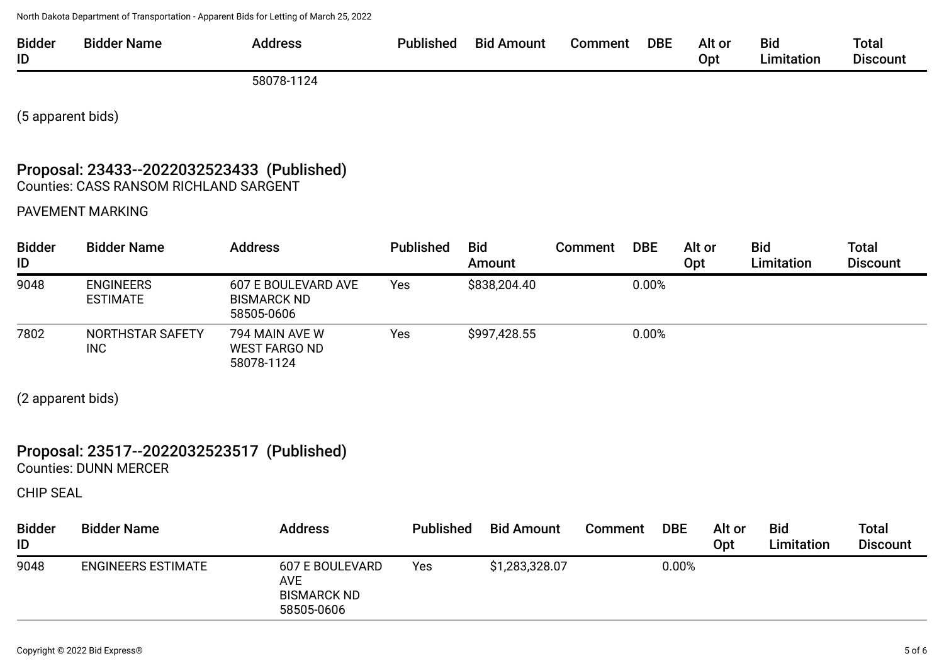| ID<br>Limitation<br>Opt | <b>Bidder</b> | --<br>Bidder Name | Address | <b>Published</b> | <b>Bid</b><br>Amount | Comment | DBE | Alt or | <b>Bid</b> | Total           |
|-------------------------|---------------|-------------------|---------|------------------|----------------------|---------|-----|--------|------------|-----------------|
|                         |               |                   |         |                  |                      |         |     |        |            | <b>Discount</b> |

58078-1124

(5 apparent bids)

### Proposal: 23433--2022032523433 (Published) Counties: CASS RANSOM RICHLAND SARGENT

PAVEMENT MARKING

| <b>Bidder</b><br>ID | <b>Bidder Name</b>                  | <b>Address</b>                                          | <b>Published</b> | <b>Bid</b><br>Amount | Comment | <b>DBE</b> | Alt or<br>Opt | <b>Bid</b><br>Limitation | <b>Total</b><br><b>Discount</b> |
|---------------------|-------------------------------------|---------------------------------------------------------|------------------|----------------------|---------|------------|---------------|--------------------------|---------------------------------|
| 9048                | <b>ENGINEERS</b><br><b>ESTIMATE</b> | 607 E BOULEVARD AVE<br><b>BISMARCK ND</b><br>58505-0606 | Yes              | \$838,204.40         |         | 0.00%      |               |                          |                                 |
| 7802                | NORTHSTAR SAFETY<br><b>INC</b>      | 794 MAIN AVE W<br><b>WEST FARGO ND</b><br>58078-1124    | Yes              | \$997,428.55         |         | 0.00%      |               |                          |                                 |

(2 apparent bids)

## Proposal: 23517--2022032523517 (Published)

Counties: DUNN MERCER

CHIP SEAL

| <b>Bidder</b><br>ID | <b>Bidder Name</b>        | <b>Address</b>                                                    | <b>Published</b> | <b>Bid Amount</b> | <b>Comment</b> | <b>DBE</b> | Alt or<br>Opt | <b>Bid</b><br>Limitation | Total<br><b>Discount</b> |
|---------------------|---------------------------|-------------------------------------------------------------------|------------------|-------------------|----------------|------------|---------------|--------------------------|--------------------------|
| 9048                | <b>ENGINEERS ESTIMATE</b> | 607 E BOULEVARD<br><b>AVE</b><br><b>BISMARCK ND</b><br>58505-0606 | Yes              | \$1,283,328.07    |                | 0.00%      |               |                          |                          |